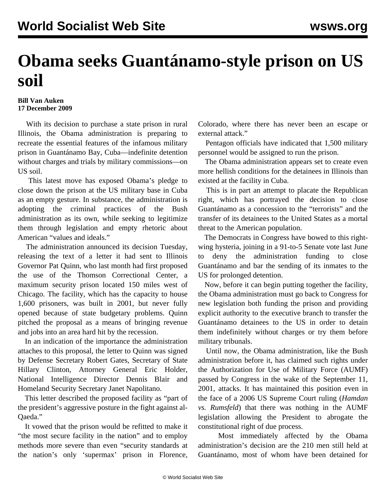## **Obama seeks Guantánamo-style prison on US soil**

## **Bill Van Auken 17 December 2009**

 With its decision to purchase a state prison in rural Illinois, the Obama administration is preparing to recreate the essential features of the infamous military prison in Guantánamo Bay, Cuba—indefinite detention without charges and trials by military commissions—on US soil.

 This latest move has exposed Obama's pledge to close down the prison at the US military base in Cuba as an empty gesture. In substance, the administration is adopting the criminal practices of the Bush administration as its own, while seeking to legitimize them through legislation and empty rhetoric about American "values and ideals."

 The administration announced its decision Tuesday, releasing the text of a letter it had sent to Illinois Governor Pat Quinn, who last month had first proposed the use of the Thomson Correctional Center, a maximum security prison located 150 miles west of Chicago. The facility, which has the capacity to house 1,600 prisoners, was built in 2001, but never fully opened because of state budgetary problems. Quinn pitched the proposal as a means of bringing revenue and jobs into an area hard hit by the recession.

 In an indication of the importance the administration attaches to this proposal, the letter to Quinn was signed by Defense Secretary Robert Gates, Secretary of State Hillary Clinton, Attorney General Eric Holder, National Intelligence Director Dennis Blair and Homeland Security Secretary Janet Napolitano.

 This letter described the proposed facility as "part of the president's aggressive posture in the fight against al-Oaeda."

 It vowed that the prison would be refitted to make it "the most secure facility in the nation" and to employ methods more severe than even "security standards at the nation's only 'supermax' prison in Florence,

Colorado, where there has never been an escape or external attack."

 Pentagon officials have indicated that 1,500 military personnel would be assigned to run the prison.

 The Obama administration appears set to create even more hellish conditions for the detainees in Illinois than existed at the facility in Cuba.

 This is in part an attempt to placate the Republican right, which has portrayed the decision to close Guantánamo as a concession to the "terrorists" and the transfer of its detainees to the United States as a mortal threat to the American population.

 The Democrats in Congress have bowed to this rightwing hysteria, joining in a 91-to-5 Senate vote last June to deny the administration funding to close Guantánamo and bar the sending of its inmates to the US for prolonged detention.

 Now, before it can begin putting together the facility, the Obama administration must go back to Congress for new legislation both funding the prison and providing explicit authority to the executive branch to transfer the Guantánamo detainees to the US in order to detain them indefinitely without charges or try them before military tribunals.

 Until now, the Obama administration, like the Bush administration before it, has claimed such rights under the Authorization for Use of Military Force (AUMF) passed by Congress in the wake of the September 11, 2001, attacks. It has maintained this position even in the face of a 2006 US Supreme Court ruling (*Hamdan vs. Rumsfeld*) that there was nothing in the AUMF legislation allowing the President to abrogate the constitutional right of due process.

 Most immediately affected by the Obama administration's decision are the 210 men still held at Guantánamo, most of whom have been detained for